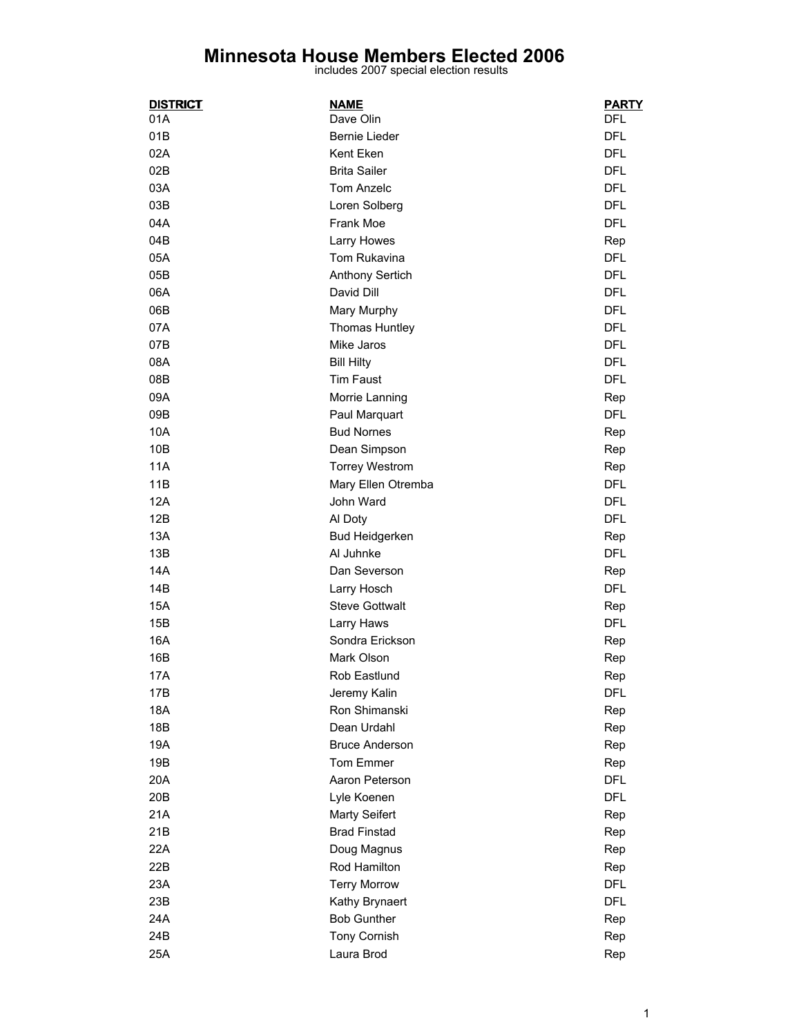## **Minnesota House Members Elected 2006** includes 2007 special election results

| <b>DISTRICT</b> | <u>NAME</u>            | <b>PARTY</b> |
|-----------------|------------------------|--------------|
| 01A             | Dave Olin              | DFL          |
| 01B             | Bernie Lieder          | <b>DFL</b>   |
| 02A             | Kent Eken              | <b>DFL</b>   |
| 02B             | <b>Brita Sailer</b>    | <b>DFL</b>   |
| 03A             | Tom Anzelc             | <b>DFL</b>   |
| 03B             | Loren Solberg          | <b>DFL</b>   |
| 04A             | Frank Moe              | <b>DFL</b>   |
| 04B             | Larry Howes            | Rep          |
| 05A             | Tom Rukavina           | <b>DFL</b>   |
| 05B             | <b>Anthony Sertich</b> | <b>DFL</b>   |
| 06A             | David Dill             | <b>DFL</b>   |
| 06B             | Mary Murphy            | <b>DFL</b>   |
| 07A             | Thomas Huntley         | <b>DFL</b>   |
| 07B             | Mike Jaros             | <b>DFL</b>   |
| 08A             | <b>Bill Hilty</b>      | <b>DFL</b>   |
| 08B             | <b>Tim Faust</b>       | <b>DFL</b>   |
| 09A             | Morrie Lanning         | Rep          |
| 09B             | Paul Marquart          | <b>DFL</b>   |
| 10A             | <b>Bud Nornes</b>      | Rep          |
| 10B             | Dean Simpson           | Rep          |
| 11A             | <b>Torrey Westrom</b>  | Rep          |
| 11B             | Mary Ellen Otremba     | <b>DFL</b>   |
| 12A             | John Ward              | <b>DFL</b>   |
| 12B             | Al Doty                | <b>DFL</b>   |
| 13A             | <b>Bud Heidgerken</b>  | Rep          |
| 13B             | Al Juhnke              | <b>DFL</b>   |
| 14A             | Dan Severson           | Rep          |
| 14B             | Larry Hosch            | <b>DFL</b>   |
| 15A             | <b>Steve Gottwalt</b>  | Rep          |
| 15B             | Larry Haws             | <b>DFL</b>   |
| 16A             | Sondra Erickson        | Rep          |
| 16B             | Mark Olson             | Rep          |
| 17A             | Rob Eastlund           | Rep          |
| 17B             | Jeremy Kalin           | <b>DFL</b>   |
| 18A             | Ron Shimanski          | Rep          |
| 18B             | Dean Urdahl            | Rep          |
| 19A             | <b>Bruce Anderson</b>  | Rep          |
| 19B             | Tom Emmer              | Rep          |
| 20A             | Aaron Peterson         | <b>DFL</b>   |
| 20 <sub>B</sub> | Lyle Koenen            | <b>DFL</b>   |
| 21A             | <b>Marty Seifert</b>   | Rep          |
| 21B             | <b>Brad Finstad</b>    | Rep          |
| 22A             | Doug Magnus            | Rep          |
| 22B             | Rod Hamilton           | Rep          |
| 23A             | <b>Terry Morrow</b>    | <b>DFL</b>   |
| 23B             | Kathy Brynaert         | <b>DFL</b>   |
| 24A             | <b>Bob Gunther</b>     | Rep          |
| 24B             | Tony Cornish           | Rep          |
| 25A             | Laura Brod             | Rep          |
|                 |                        |              |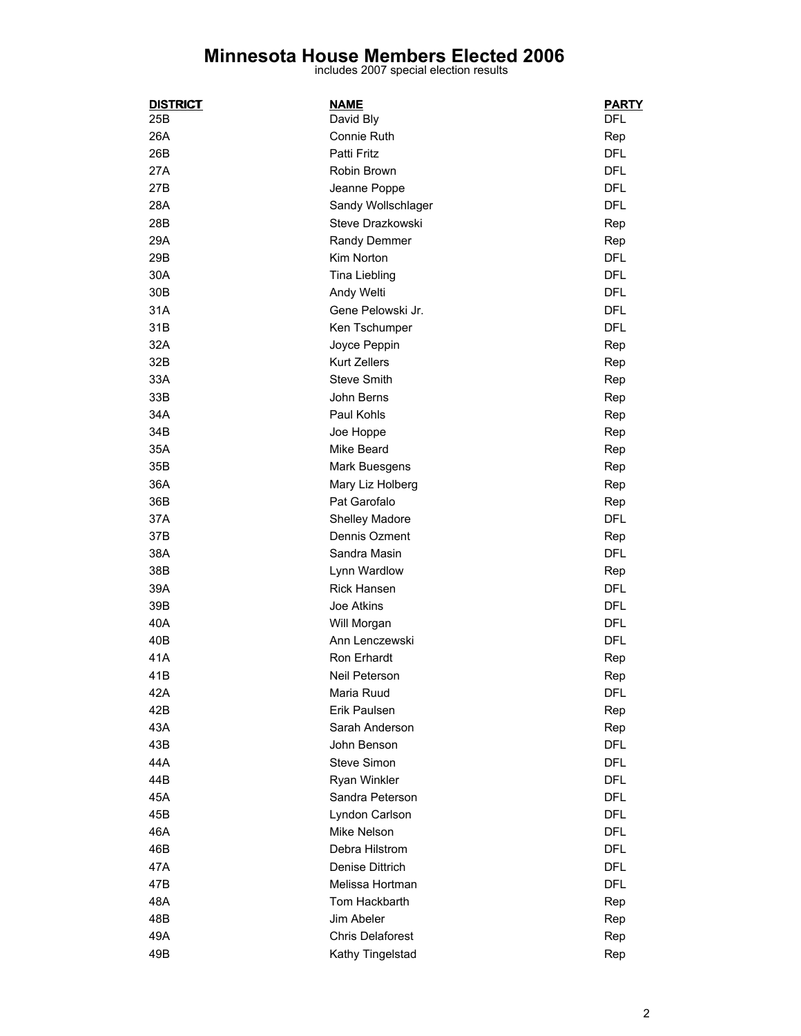## **Minnesota House Members Elected 2006** includes 2007 special election results

| <u>DISTRICT</u> | <b>NAME</b>             | <b>PARTY</b> |
|-----------------|-------------------------|--------------|
| 25B             | David Bly               | <b>DFL</b>   |
| 26A             | Connie Ruth             | Rep          |
| 26B             | Patti Fritz             | <b>DFL</b>   |
| 27A             | Robin Brown             | <b>DFL</b>   |
| 27B             | Jeanne Poppe            | <b>DFL</b>   |
| 28A             | Sandy Wollschlager      | <b>DFL</b>   |
| 28B             | Steve Drazkowski        | Rep          |
| 29A             | Randy Demmer            | Rep          |
| 29B             | Kim Norton              | <b>DFL</b>   |
| 30A             | Tina Liebling           | <b>DFL</b>   |
| 30 <sub>B</sub> | Andy Welti              | DFL          |
| 31A             | Gene Pelowski Jr.       | <b>DFL</b>   |
| 31B             | Ken Tschumper           | <b>DFL</b>   |
| 32A             | Joyce Peppin            | Rep          |
| 32B             | <b>Kurt Zellers</b>     | Rep          |
| 33A             | <b>Steve Smith</b>      | Rep          |
| 33B             | John Berns              | Rep          |
| 34A             | Paul Kohls              | Rep          |
| 34B             | Joe Hoppe               | Rep          |
| 35A             | Mike Beard              | Rep          |
| 35B             | Mark Buesgens           | Rep          |
| 36A             | Mary Liz Holberg        | Rep          |
| 36B             | Pat Garofalo            | Rep          |
| 37A             | Shelley Madore          | <b>DFL</b>   |
| 37B             | Dennis Ozment           | Rep          |
| 38A             | Sandra Masin            | <b>DFL</b>   |
| 38B             | Lynn Wardlow            | Rep          |
| 39A             | <b>Rick Hansen</b>      | <b>DFL</b>   |
| 39B             | Joe Atkins              | <b>DFL</b>   |
| 40A             | Will Morgan             | <b>DFL</b>   |
| 40B             | Ann Lenczewski          | <b>DFL</b>   |
| 41A             | Ron Erhardt             | Rep          |
| 41B             | Neil Peterson           | Rep          |
| 42A             | Maria Ruud              | <b>DFL</b>   |
| 42B             | Erik Paulsen            | Rep          |
| 43A             | Sarah Anderson          | Rep          |
| 43B             | John Benson             | <b>DFL</b>   |
| 44A             | Steve Simon             | <b>DFL</b>   |
| 44B             | Ryan Winkler            | <b>DFL</b>   |
| 45A             | Sandra Peterson         | DFL          |
| 45B             | Lyndon Carlson          | <b>DFL</b>   |
| 46A             | Mike Nelson             | <b>DFL</b>   |
| 46B             | Debra Hilstrom          | <b>DFL</b>   |
| 47A             | Denise Dittrich         | <b>DFL</b>   |
| 47B             | Melissa Hortman         | <b>DFL</b>   |
| 48A             | Tom Hackbarth           | Rep          |
| 48B             | Jim Abeler              | Rep          |
| 49A             | <b>Chris Delaforest</b> | Rep          |
| 49B             | Kathy Tingelstad        | Rep          |
|                 |                         |              |